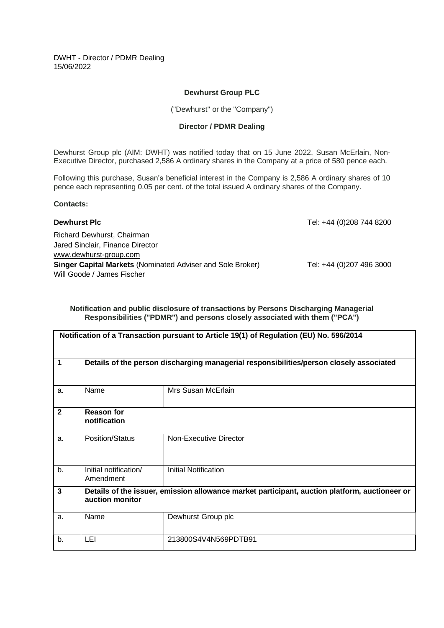DWHT - Director / PDMR Dealing 15/06/2022

## **Dewhurst Group PLC**

("Dewhurst" or the "Company")

## **Director / PDMR Dealing**

Dewhurst Group plc (AIM: DWHT) was notified today that on 15 June 2022, Susan McErlain, Non-Executive Director, purchased 2,586 A ordinary shares in the Company at a price of 580 pence each.

Following this purchase, Susan's beneficial interest in the Company is 2,586 A ordinary shares of 10 pence each representing 0.05 per cent. of the total issued A ordinary shares of the Company.

## **Contacts:**

| <b>Dewhurst Plc</b>                                               | Tel: +44 (0)208 744 8200 |
|-------------------------------------------------------------------|--------------------------|
| Richard Dewhurst, Chairman                                        |                          |
| Jared Sinclair, Finance Director                                  |                          |
| www.dewhurst-group.com                                            |                          |
| <b>Singer Capital Markets (Nominated Adviser and Sole Broker)</b> | Tel: +44 (0)207 496 3000 |
| Will Goode / James Fischer                                        |                          |

**Notification and public disclosure of transactions by Persons Discharging Managerial Responsibilities ("PDMR") and persons closely associated with them ("PCA")**

| Notification of a Transaction pursuant to Article 19(1) of Regulation (EU) No. 596/2014 |                                                                                                                  |                             |  |  |
|-----------------------------------------------------------------------------------------|------------------------------------------------------------------------------------------------------------------|-----------------------------|--|--|
| 1                                                                                       | Details of the person discharging managerial responsibilities/person closely associated                          |                             |  |  |
| a.                                                                                      | Name                                                                                                             | Mrs Susan McErlain          |  |  |
| $\mathbf{2}$                                                                            | <b>Reason for</b><br>notification                                                                                |                             |  |  |
| a.                                                                                      | <b>Position/Status</b>                                                                                           | Non-Executive Director      |  |  |
| b.                                                                                      | Initial notification/<br>Amendment                                                                               | <b>Initial Notification</b> |  |  |
| $\mathbf{3}$                                                                            | Details of the issuer, emission allowance market participant, auction platform, auctioneer or<br>auction monitor |                             |  |  |
| a.                                                                                      | Name                                                                                                             | Dewhurst Group plc          |  |  |
| b.                                                                                      | LEI                                                                                                              | 213800S4V4N569PDTB91        |  |  |